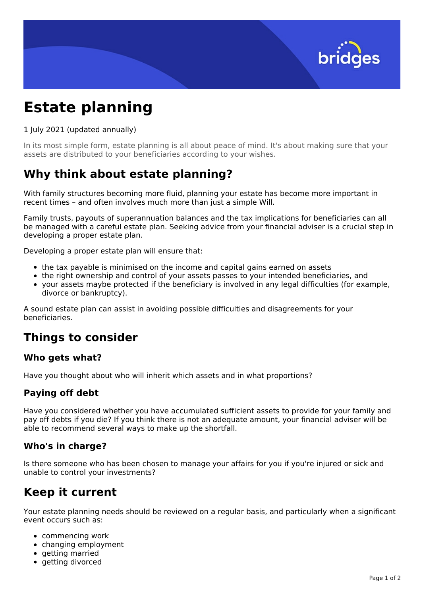

# **Estate planning**

#### 1 July 2021 (updated annually)

In its most simple form, estate planning is all about peace of mind. It's about making sure that your assets are distributed to your beneficiaries according to your wishes.

## **Why think about estate planning?**

With family structures becoming more fluid, planning your estate has become more important in recent times – and often involves much more than just a simple Will.

Family trusts, payouts of superannuation balances and the tax implications for beneficiaries can all be managed with a careful estate plan. Seeking advice from your financial adviser is a crucial step in developing a proper estate plan.

Developing a proper estate plan will ensure that:

- the tax payable is minimised on the income and capital gains earned on assets
- the right ownership and control of your assets passes to your intended beneficiaries, and
- your assets maybe protected if the beneficiary is involved in any legal difficulties (for example, divorce or bankruptcy).

A sound estate plan can assist in avoiding possible difficulties and disagreements for your beneficiaries.

## **Things to consider**

#### **Who gets what?**

Have you thought about who will inherit which assets and in what proportions?

## **Paying off debt**

Have you considered whether you have accumulated sufficient assets to provide for your family and pay off debts if you die? If you think there is not an adequate amount, your financial adviser will be able to recommend several ways to make up the shortfall.

## **Who's in charge?**

Is there someone who has been chosen to manage your affairs for you if you're injured or sick and unable to control your investments?

# **Keep it current**

Your estate planning needs should be reviewed on a regular basis, and particularly when a significant event occurs such as:

- commencing work
- changing employment
- $\bullet$  getting married
- getting divorced